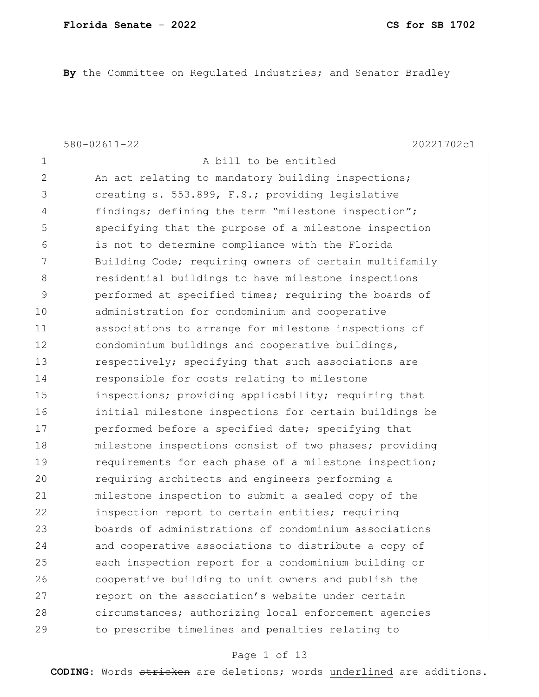**By** the Committee on Regulated Industries; and Senator Bradley

1 a bill to be entitled

580-02611-22 20221702c1

2 An act relating to mandatory building inspections; 3 3 creating s. 553.899, F.S.; providing legislative 4 findings; defining the term "milestone inspection"; 5 specifying that the purpose of a milestone inspection 6 is not to determine compliance with the Florida 7 Building Code; requiring owners of certain multifamily 8 **8** residential buildings to have milestone inspections 9 performed at specified times; requiring the boards of 10 administration for condominium and cooperative 11 associations to arrange for milestone inspections of 12 condominium buildings and cooperative buildings, 13 respectively; specifying that such associations are 14 responsible for costs relating to milestone 15 inspections; providing applicability; requiring that 16 initial milestone inspections for certain buildings be 17 performed before a specified date; specifying that 18 milestone inspections consist of two phases; providing 19 19 requirements for each phase of a milestone inspection; 20 requiring architects and engineers performing a 21 milestone inspection to submit a sealed copy of the 22 **inspection report to certain entities; requiring** 23 boards of administrations of condominium associations 24 and cooperative associations to distribute a copy of 25 each inspection report for a condominium building or 26 cooperative building to unit owners and publish the 27 report on the association's website under certain 28 circumstances; authorizing local enforcement agencies 29 to prescribe timelines and penalties relating to

### Page 1 of 13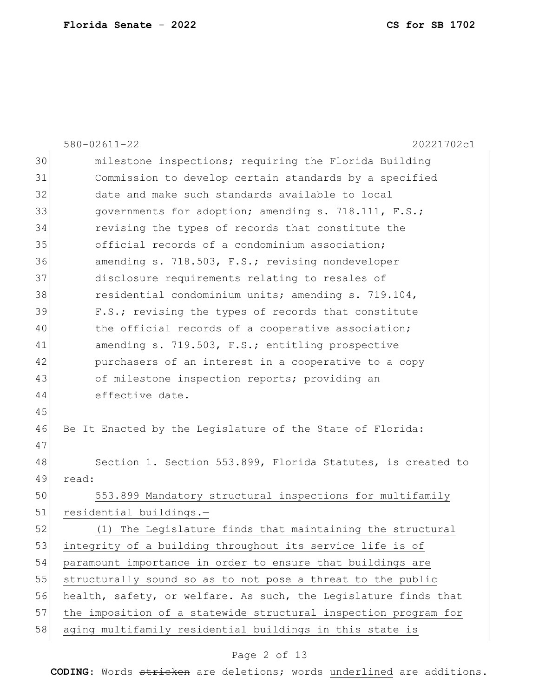|    | $580 - 02611 - 22$<br>20221702c1                                |
|----|-----------------------------------------------------------------|
| 30 | milestone inspections; requiring the Florida Building           |
| 31 | Commission to develop certain standards by a specified          |
| 32 | date and make such standards available to local                 |
| 33 | governments for adoption; amending s. 718.111, F.S.;            |
| 34 | revising the types of records that constitute the               |
| 35 | official records of a condominium association;                  |
| 36 | amending s. 718.503, F.S.; revising nondeveloper                |
| 37 | disclosure requirements relating to resales of                  |
| 38 | residential condominium units; amending s. 719.104,             |
| 39 | F.S.; revising the types of records that constitute             |
| 40 | the official records of a cooperative association;              |
| 41 | amending s. 719.503, F.S.; entitling prospective                |
| 42 | purchasers of an interest in a cooperative to a copy            |
| 43 | of milestone inspection reports; providing an                   |
| 44 | effective date.                                                 |
| 45 |                                                                 |
| 46 | Be It Enacted by the Legislature of the State of Florida:       |
| 47 |                                                                 |
| 48 | Section 1. Section 553.899, Florida Statutes, is created to     |
| 49 | read:                                                           |
| 50 | 553.899 Mandatory structural inspections for multifamily        |
| 51 | residential buildings.-                                         |
| 52 | (1) The Legislature finds that maintaining the structural       |
| 53 | integrity of a building throughout its service life is of       |
| 54 | paramount importance in order to ensure that buildings are      |
| 55 | structurally sound so as to not pose a threat to the public     |
| 56 | health, safety, or welfare. As such, the Legislature finds that |
| 57 | the imposition of a statewide structural inspection program for |
| 58 | aging multifamily residential buildings in this state is        |

# Page 2 of 13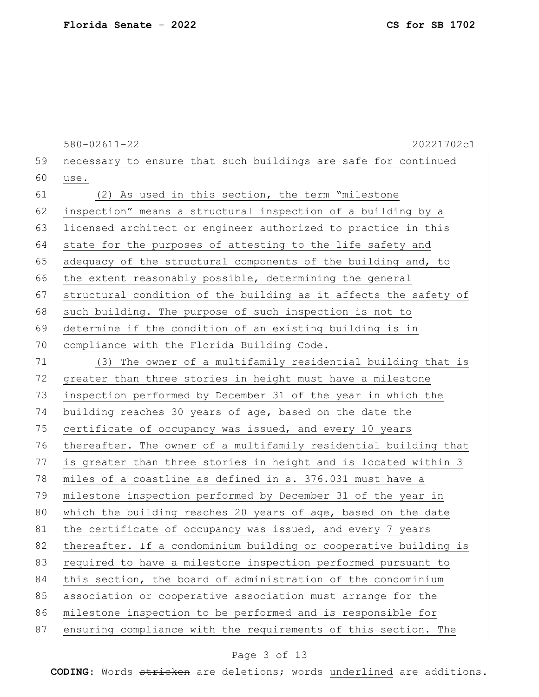580-02611-22 20221702c1 59 necessary to ensure that such buildings are safe for continued  $60$  use. 61 (2) As used in this section, the term "milestone 62 inspection" means a structural inspection of a building by a 63 licensed architect or engineer authorized to practice in this 64 state for the purposes of attesting to the life safety and 65 adequacy of the structural components of the building and, to 66 the extent reasonably possible, determining the general 67 structural condition of the building as it affects the safety of 68 such building. The purpose of such inspection is not to 69 determine if the condition of an existing building is in 70 compliance with the Florida Building Code. 71 (3) The owner of a multifamily residential building that is 72 greater than three stories in height must have a milestone 73 inspection performed by December 31 of the year in which the 74 building reaches 30 years of age, based on the date the 75 certificate of occupancy was issued, and every 10 years 76 thereafter. The owner of a multifamily residential building that 77 is greater than three stories in height and is located within 3 78 miles of a coastline as defined in s. 376.031 must have a 79 milestone inspection performed by December 31 of the year in 80 which the building reaches 20 years of age, based on the date 81 the certificate of occupancy was issued, and every 7 years 82 thereafter. If a condominium building or cooperative building is 83 required to have a milestone inspection performed pursuant to 84 this section, the board of administration of the condominium 85 association or cooperative association must arrange for the 86 milestone inspection to be performed and is responsible for 87 ensuring compliance with the requirements of this section. The

#### Page 3 of 13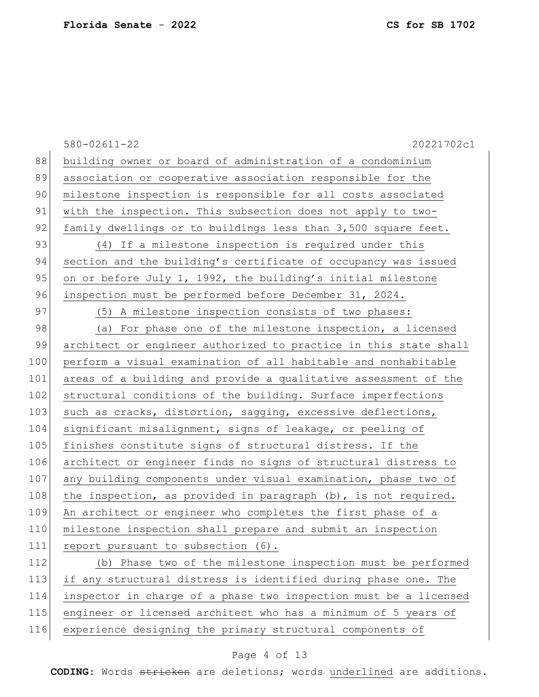|     | $580 - 02611 - 22$<br>20221702c1                                 |
|-----|------------------------------------------------------------------|
| 88  | building owner or board of administration of a condominium       |
| 89  | association or cooperative association responsible for the       |
| 90  | milestone inspection is responsible for all costs associated     |
| 91  | with the inspection. This subsection does not apply to two-      |
| 92  | family dwellings or to buildings less than 3,500 square feet.    |
| 93  | (4) If a milestone inspection is required under this             |
| 94  | section and the building's certificate of occupancy was issued   |
| 95  | on or before July 1, 1992, the building's initial milestone      |
| 96  | inspection must be performed before December 31, 2024.           |
| 97  | (5) A milestone inspection consists of two phases:               |
| 98  | (a) For phase one of the milestone inspection, a licensed        |
| 99  | architect or engineer authorized to practice in this state shall |
| 100 | perform a visual examination of all habitable and nonhabitable   |
| 101 | areas of a building and provide a qualitative assessment of the  |
| 102 | structural conditions of the building. Surface imperfections     |
| 103 | such as cracks, distortion, sagging, excessive deflections,      |
| 104 | significant misalignment, signs of leakage, or peeling of        |
| 105 | finishes constitute signs of structural distress. If the         |
| 106 | architect or engineer finds no signs of structural distress to   |
| 107 | any building components under visual examination, phase two of   |
| 108 | the inspection, as provided in paragraph (b), is not required.   |
| 109 | An architect or engineer who completes the first phase of a      |
| 110 | milestone inspection shall prepare and submit an inspection      |
| 111 | report pursuant to subsection (6).                               |
| 112 | (b) Phase two of the milestone inspection must be performed      |
| 113 | if any structural distress is identified during phase one. The   |
| 114 | inspector in charge of a phase two inspection must be a licensed |
| 115 | engineer or licensed architect who has a minimum of 5 years of   |
| 116 | experience designing the primary structural components of        |

# Page 4 of 13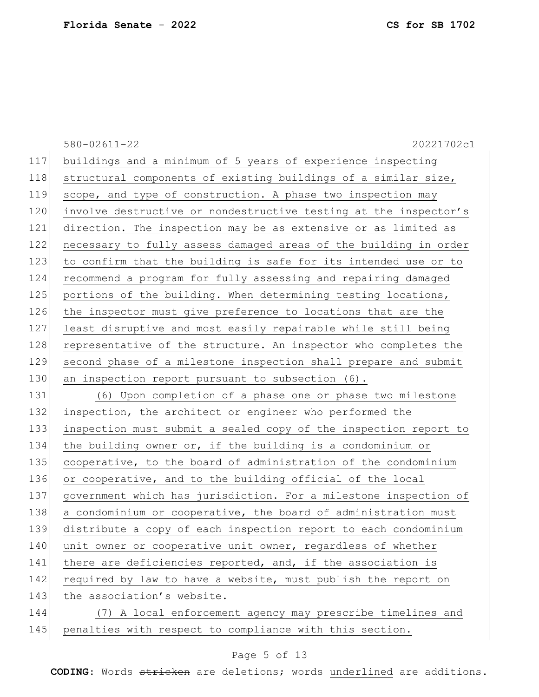|     | $580 - 02611 - 22$<br>20221702c1                                 |
|-----|------------------------------------------------------------------|
| 117 | buildings and a minimum of 5 years of experience inspecting      |
| 118 | structural components of existing buildings of a similar size,   |
| 119 | scope, and type of construction. A phase two inspection may      |
| 120 | involve destructive or nondestructive testing at the inspector's |
| 121 | direction. The inspection may be as extensive or as limited as   |
| 122 | necessary to fully assess damaged areas of the building in order |
| 123 | to confirm that the building is safe for its intended use or to  |
| 124 | recommend a program for fully assessing and repairing damaged    |
| 125 | portions of the building. When determining testing locations,    |
| 126 | the inspector must give preference to locations that are the     |
| 127 | least disruptive and most easily repairable while still being    |
| 128 | representative of the structure. An inspector who completes the  |
| 129 | second phase of a milestone inspection shall prepare and submit  |
| 130 | an inspection report pursuant to subsection (6).                 |
| 131 | (6) Upon completion of a phase one or phase two milestone        |
| 132 | inspection, the architect or engineer who performed the          |
| 133 | inspection must submit a sealed copy of the inspection report to |
| 134 | the building owner or, if the building is a condominium or       |
| 135 | cooperative, to the board of administration of the condominium   |
| 136 | or cooperative, and to the building official of the local        |
| 137 | government which has jurisdiction. For a milestone inspection of |
| 138 | a condominium or cooperative, the board of administration must   |
| 139 | distribute a copy of each inspection report to each condominium  |
| 140 | unit owner or cooperative unit owner, regardless of whether      |
| 141 | there are deficiencies reported, and, if the association is      |
| 142 | required by law to have a website, must publish the report on    |
| 143 | the association's website.                                       |
| 144 | (7) A local enforcement agency may prescribe timelines and       |
| 145 | penalties with respect to compliance with this section.          |

# Page 5 of 13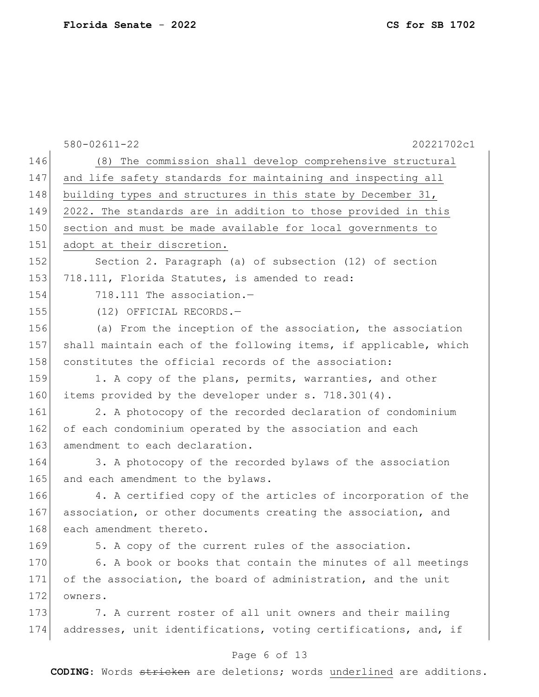|     | $580 - 02611 - 22$<br>20221702c1                                 |
|-----|------------------------------------------------------------------|
| 146 | (8) The commission shall develop comprehensive structural        |
| 147 | and life safety standards for maintaining and inspecting all     |
| 148 | building types and structures in this state by December 31,      |
| 149 | 2022. The standards are in addition to those provided in this    |
| 150 | section and must be made available for local governments to      |
| 151 | adopt at their discretion.                                       |
| 152 | Section 2. Paragraph (a) of subsection (12) of section           |
| 153 | 718.111, Florida Statutes, is amended to read:                   |
| 154 | 718.111 The association.-                                        |
| 155 | (12) OFFICIAL RECORDS.-                                          |
| 156 | (a) From the inception of the association, the association       |
| 157 | shall maintain each of the following items, if applicable, which |
| 158 | constitutes the official records of the association:             |
| 159 | 1. A copy of the plans, permits, warranties, and other           |
| 160 | items provided by the developer under s. 718.301(4).             |
| 161 | 2. A photocopy of the recorded declaration of condominium        |
| 162 | of each condominium operated by the association and each         |
| 163 | amendment to each declaration.                                   |
| 164 | 3. A photocopy of the recorded bylaws of the association         |
| 165 | and each amendment to the bylaws.                                |
| 166 | 4. A certified copy of the articles of incorporation of the      |
| 167 | association, or other documents creating the association, and    |
| 168 | each amendment thereto.                                          |
| 169 | 5. A copy of the current rules of the association.               |
| 170 | 6. A book or books that contain the minutes of all meetings      |
| 171 | of the association, the board of administration, and the unit    |
| 172 | owners.                                                          |
| 173 | 7. A current roster of all unit owners and their mailing         |
| 174 | addresses, unit identifications, voting certifications, and, if  |
|     |                                                                  |

# Page 6 of 13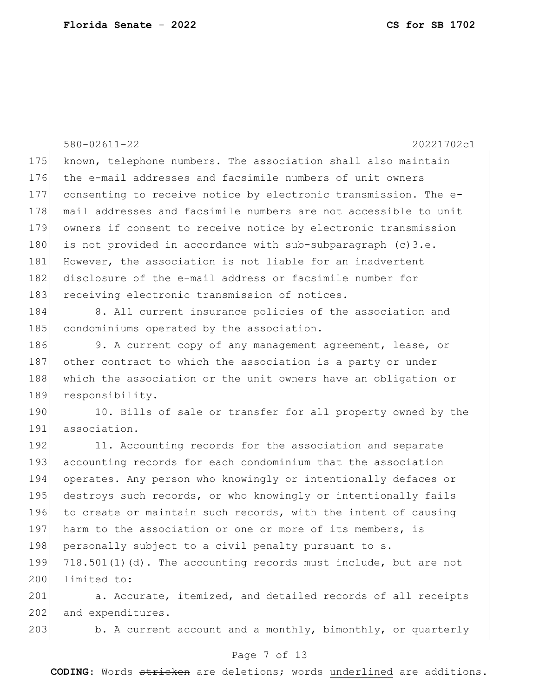580-02611-22 20221702c1 175 known, telephone numbers. The association shall also maintain 176 the e-mail addresses and facsimile numbers of unit owners 177 consenting to receive notice by electronic transmission. The e-178 mail addresses and facsimile numbers are not accessible to unit 179 owners if consent to receive notice by electronic transmission 180 is not provided in accordance with sub-subparagraph  $(c)$  3.e. 181 However, the association is not liable for an inadvertent 182 disclosure of the e-mail address or facsimile number for 183 receiving electronic transmission of notices. 184 8. All current insurance policies of the association and 185 condominiums operated by the association. 186 9. A current copy of any management agreement, lease, or 187 other contract to which the association is a party or under 188 which the association or the unit owners have an obligation or 189 responsibility. 190 10. Bills of sale or transfer for all property owned by the 191 association. 192 11. Accounting records for the association and separate 193 accounting records for each condominium that the association 194 operates. Any person who knowingly or intentionally defaces or 195 destroys such records, or who knowingly or intentionally fails 196 to create or maintain such records, with the intent of causing 197 harm to the association or one or more of its members, is 198 personally subject to a civil penalty pursuant to s. 199  $718.501(1)(d)$ . The accounting records must include, but are not 200 limited to: 201 a. Accurate, itemized, and detailed records of all receipts 202 and expenditures. 203 b. A current account and a monthly, bimonthly, or quarterly

### Page 7 of 13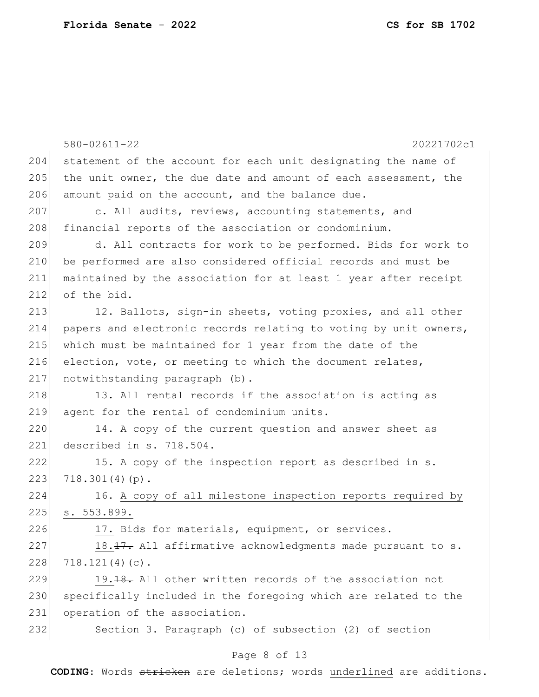|     | $580 - 02611 - 22$<br>20221702c1                                    |
|-----|---------------------------------------------------------------------|
| 204 | statement of the account for each unit designating the name of      |
| 205 | the unit owner, the due date and amount of each assessment, the     |
| 206 | amount paid on the account, and the balance due.                    |
| 207 | c. All audits, reviews, accounting statements, and                  |
| 208 | financial reports of the association or condominium.                |
| 209 | d. All contracts for work to be performed. Bids for work to         |
| 210 | be performed are also considered official records and must be       |
| 211 | maintained by the association for at least 1 year after receipt     |
| 212 | of the bid.                                                         |
| 213 | 12. Ballots, sign-in sheets, voting proxies, and all other          |
| 214 | papers and electronic records relating to voting by unit owners,    |
| 215 | which must be maintained for 1 year from the date of the            |
| 216 | election, vote, or meeting to which the document relates,           |
| 217 | notwithstanding paragraph (b).                                      |
| 218 | 13. All rental records if the association is acting as              |
| 219 | agent for the rental of condominium units.                          |
| 220 | 14. A copy of the current question and answer sheet as              |
| 221 | described in s. 718.504.                                            |
| 222 | 15. A copy of the inspection report as described in s.              |
| 223 | $718.301(4)(p)$ .                                                   |
| 224 | 16. A copy of all milestone inspection reports required by          |
| 225 | s. 553.899.                                                         |
| 226 | 17. Bids for materials, equipment, or services.                     |
| 227 | 18.17. All affirmative acknowledgments made pursuant to s.          |
| 228 | $718.121(4)(c)$ .                                                   |
| 229 | 19. <del>18.</del> All other written records of the association not |
| 230 | specifically included in the foregoing which are related to the     |
| 231 | operation of the association.                                       |
| 232 | Section 3. Paragraph (c) of subsection (2) of section               |
|     |                                                                     |

# Page 8 of 13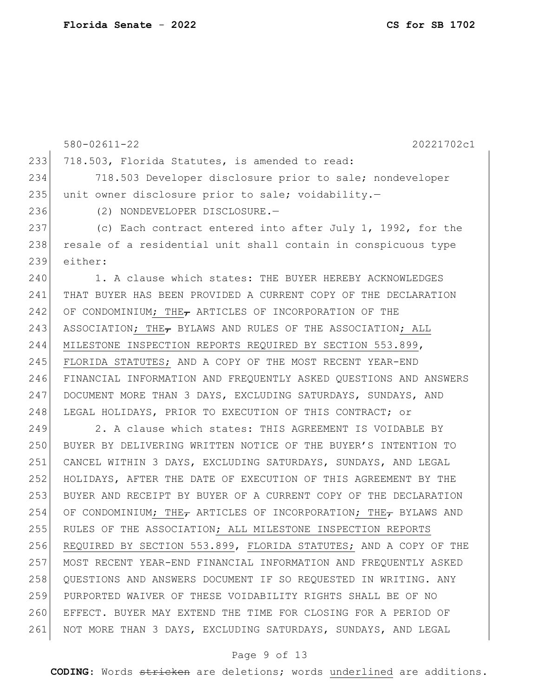580-02611-22 20221702c1 233 718.503, Florida Statutes, is amended to read: 718.503 Developer disclosure prior to sale; nondeveloper 235 unit owner disclosure prior to sale; voidability.- (2) NONDEVELOPER DISCLOSURE.— 237 (c) Each contract entered into after July 1, 1992, for the 238 resale of a residential unit shall contain in conspicuous type either: 1. A clause which states: THE BUYER HEREBY ACKNOWLEDGES THAT BUYER HAS BEEN PROVIDED A CURRENT COPY OF THE DECLARATION 242 OF CONDOMINIUM; THE $_{\tau}$  ARTICLES OF INCORPORATION OF THE 243 ASSOCIATION; THE, BYLAWS AND RULES OF THE ASSOCIATION; ALL MILESTONE INSPECTION REPORTS REQUIRED BY SECTION 553.899, FLORIDA STATUTES; AND A COPY OF THE MOST RECENT YEAR-END FINANCIAL INFORMATION AND FREQUENTLY ASKED QUESTIONS AND ANSWERS DOCUMENT MORE THAN 3 DAYS, EXCLUDING SATURDAYS, SUNDAYS, AND 248 LEGAL HOLIDAYS, PRIOR TO EXECUTION OF THIS CONTRACT; or 249 2. A clause which states: THIS AGREEMENT IS VOIDABLE BY BUYER BY DELIVERING WRITTEN NOTICE OF THE BUYER'S INTENTION TO CANCEL WITHIN 3 DAYS, EXCLUDING SATURDAYS, SUNDAYS, AND LEGAL HOLIDAYS, AFTER THE DATE OF EXECUTION OF THIS AGREEMENT BY THE BUYER AND RECEIPT BY BUYER OF A CURRENT COPY OF THE DECLARATION 254 OF CONDOMINIUM; THE<sub>T</sub> ARTICLES OF INCORPORATION; THE<sub>T</sub> BYLAWS AND RULES OF THE ASSOCIATION; ALL MILESTONE INSPECTION REPORTS REQUIRED BY SECTION 553.899, FLORIDA STATUTES; AND A COPY OF THE MOST RECENT YEAR-END FINANCIAL INFORMATION AND FREQUENTLY ASKED QUESTIONS AND ANSWERS DOCUMENT IF SO REQUESTED IN WRITING. ANY PURPORTED WAIVER OF THESE VOIDABILITY RIGHTS SHALL BE OF NO EFFECT. BUYER MAY EXTEND THE TIME FOR CLOSING FOR A PERIOD OF NOT MORE THAN 3 DAYS, EXCLUDING SATURDAYS, SUNDAYS, AND LEGAL

#### Page 9 of 13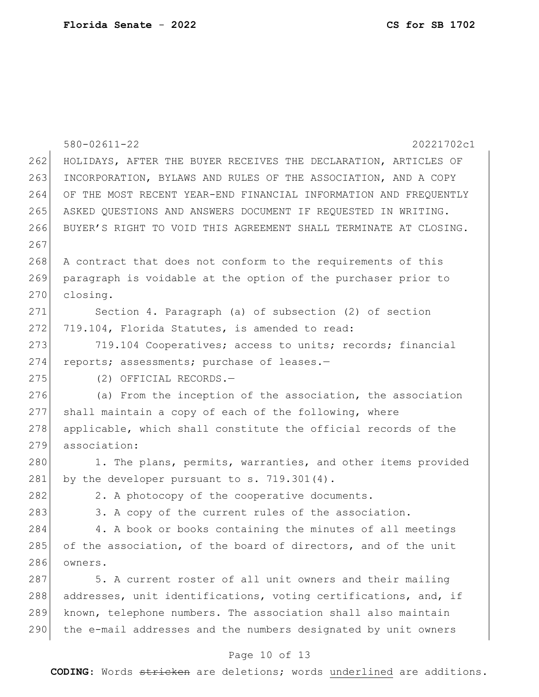|     | $580 - 02611 - 22$<br>20221702c1                                 |
|-----|------------------------------------------------------------------|
| 262 | HOLIDAYS, AFTER THE BUYER RECEIVES THE DECLARATION, ARTICLES OF  |
| 263 | INCORPORATION, BYLAWS AND RULES OF THE ASSOCIATION, AND A COPY   |
| 264 | OF THE MOST RECENT YEAR-END FINANCIAL INFORMATION AND FREQUENTLY |
| 265 | ASKED QUESTIONS AND ANSWERS DOCUMENT IF REQUESTED IN WRITING.    |
| 266 | BUYER'S RIGHT TO VOID THIS AGREEMENT SHALL TERMINATE AT CLOSING. |
| 267 |                                                                  |
| 268 | A contract that does not conform to the requirements of this     |
| 269 | paragraph is voidable at the option of the purchaser prior to    |
| 270 | closing.                                                         |
| 271 | Section 4. Paragraph (a) of subsection (2) of section            |
| 272 | 719.104, Florida Statutes, is amended to read:                   |
| 273 | 719.104 Cooperatives; access to units; records; financial        |
| 274 | reports; assessments; purchase of leases.-                       |
| 275 | (2) OFFICIAL RECORDS.-                                           |
| 276 | (a) From the inception of the association, the association       |
| 277 | shall maintain a copy of each of the following, where            |
| 278 | applicable, which shall constitute the official records of the   |
| 279 | association:                                                     |
| 280 | 1. The plans, permits, warranties, and other items provided      |
| 281 | by the developer pursuant to s. 719.301(4).                      |
| 282 | 2. A photocopy of the cooperative documents.                     |
| 283 | 3. A copy of the current rules of the association.               |
| 284 | 4. A book or books containing the minutes of all meetings        |
| 285 | of the association, of the board of directors, and of the unit   |
| 286 | owners.                                                          |
| 287 | 5. A current roster of all unit owners and their mailing         |
| 288 | addresses, unit identifications, voting certifications, and, if  |
| 289 | known, telephone numbers. The association shall also maintain    |
| 290 | the e-mail addresses and the numbers designated by unit owners   |
|     | Page 10 of 13                                                    |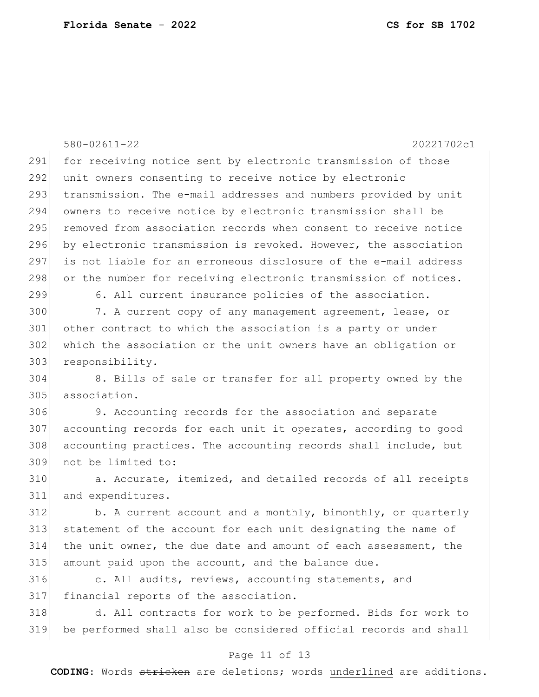|     | $580 - 02611 - 22$<br>20221702c1                                 |
|-----|------------------------------------------------------------------|
| 291 | for receiving notice sent by electronic transmission of those    |
| 292 | unit owners consenting to receive notice by electronic           |
| 293 | transmission. The e-mail addresses and numbers provided by unit  |
| 294 | owners to receive notice by electronic transmission shall be     |
| 295 | removed from association records when consent to receive notice  |
| 296 | by electronic transmission is revoked. However, the association  |
| 297 | is not liable for an erroneous disclosure of the e-mail address  |
| 298 | or the number for receiving electronic transmission of notices.  |
| 299 | 6. All current insurance policies of the association.            |
| 300 | 7. A current copy of any management agreement, lease, or         |
| 301 | other contract to which the association is a party or under      |
| 302 | which the association or the unit owners have an obligation or   |
| 303 | responsibility.                                                  |
| 304 | 8. Bills of sale or transfer for all property owned by the       |
| 305 | association.                                                     |
| 306 | 9. Accounting records for the association and separate           |
| 307 | accounting records for each unit it operates, according to good  |
| 308 | accounting practices. The accounting records shall include, but  |
| 309 | not be limited to:                                               |
| 310 | a. Accurate, itemized, and detailed records of all receipts      |
| 311 | and expenditures.                                                |
| 312 | b. A current account and a monthly, bimonthly, or quarterly      |
| 313 | statement of the account for each unit designating the name of   |
| 314 | the unit owner, the due date and amount of each assessment, the  |
| 315 | amount paid upon the account, and the balance due.               |
| 316 | c. All audits, reviews, accounting statements, and               |
| 317 | financial reports of the association.                            |
| 318 | d. All contracts for work to be performed. Bids for work to      |
| 319 | be performed shall also be considered official records and shall |

# Page 11 of 13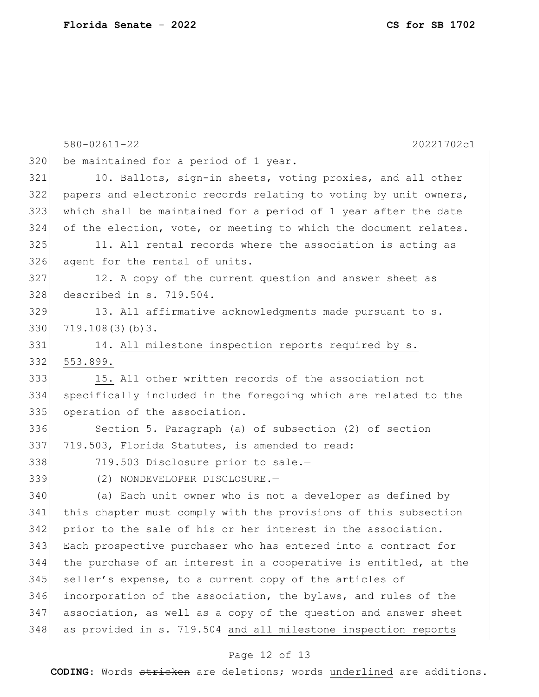|     | $580 - 02611 - 22$<br>20221702c1                                 |
|-----|------------------------------------------------------------------|
| 320 | be maintained for a period of 1 year.                            |
| 321 | 10. Ballots, sign-in sheets, voting proxies, and all other       |
| 322 | papers and electronic records relating to voting by unit owners, |
| 323 | which shall be maintained for a period of 1 year after the date  |
| 324 | of the election, vote, or meeting to which the document relates. |
| 325 | 11. All rental records where the association is acting as        |
| 326 | agent for the rental of units.                                   |
| 327 | 12. A copy of the current question and answer sheet as           |
| 328 | described in s. 719.504.                                         |
| 329 | 13. All affirmative acknowledgments made pursuant to s.          |
| 330 | 719.108(3)(b)3.                                                  |
| 331 | 14. All milestone inspection reports required by s.              |
| 332 | 553.899.                                                         |
| 333 | 15. All other written records of the association not             |
| 334 | specifically included in the foregoing which are related to the  |
| 335 | operation of the association.                                    |
| 336 | Section 5. Paragraph (a) of subsection (2) of section            |
| 337 | 719.503, Florida Statutes, is amended to read:                   |
| 338 | 719.503 Disclosure prior to sale.-                               |
| 339 | (2) NONDEVELOPER DISCLOSURE.-                                    |
| 340 | (a) Each unit owner who is not a developer as defined by         |
| 341 | this chapter must comply with the provisions of this subsection  |
| 342 | prior to the sale of his or her interest in the association.     |
| 343 | Each prospective purchaser who has entered into a contract for   |
| 344 | the purchase of an interest in a cooperative is entitled, at the |
| 345 | seller's expense, to a current copy of the articles of           |
| 346 | incorporation of the association, the bylaws, and rules of the   |
| 347 | association, as well as a copy of the question and answer sheet  |
| 348 | as provided in s. 719.504 and all milestone inspection reports   |

# Page 12 of 13